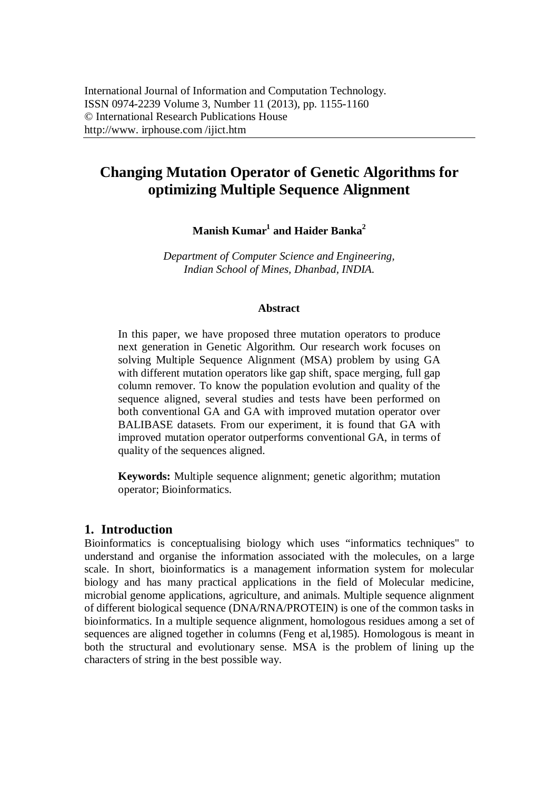# **Changing Mutation Operator of Genetic Algorithms for optimizing Multiple Sequence Alignment**

**Manish Kumar<sup>1</sup> and Haider Banka<sup>2</sup>**

*Department of Computer Science and Engineering, Indian School of Mines, Dhanbad, INDIA.*

#### **Abstract**

In this paper, we have proposed three mutation operators to produce next generation in Genetic Algorithm. Our research work focuses on solving Multiple Sequence Alignment (MSA) problem by using GA with different mutation operators like gap shift, space merging, full gap column remover. To know the population evolution and quality of the sequence aligned, several studies and tests have been performed on both conventional GA and GA with improved mutation operator over BALIBASE datasets. From our experiment, it is found that GA with improved mutation operator outperforms conventional GA, in terms of quality of the sequences aligned.

**Keywords:** Multiple sequence alignment; genetic algorithm; mutation operator; Bioinformatics.

# **1. Introduction**

Bioinformatics is conceptualising biology which uses "informatics techniques" to understand and organise the information associated with the molecules, on a large scale. In short, bioinformatics is a management information system for molecular biology and has many practical applications in the field of Molecular medicine, microbial genome applications, agriculture, and animals. Multiple sequence alignment of different biological sequence (DNA/RNA/PROTEIN) is one of the common tasks in bioinformatics. In a multiple sequence alignment, homologous residues among a set of sequences are aligned together in columns (Feng et al,1985). Homologous is meant in both the structural and evolutionary sense. MSA is the problem of lining up the characters of string in the best possible way.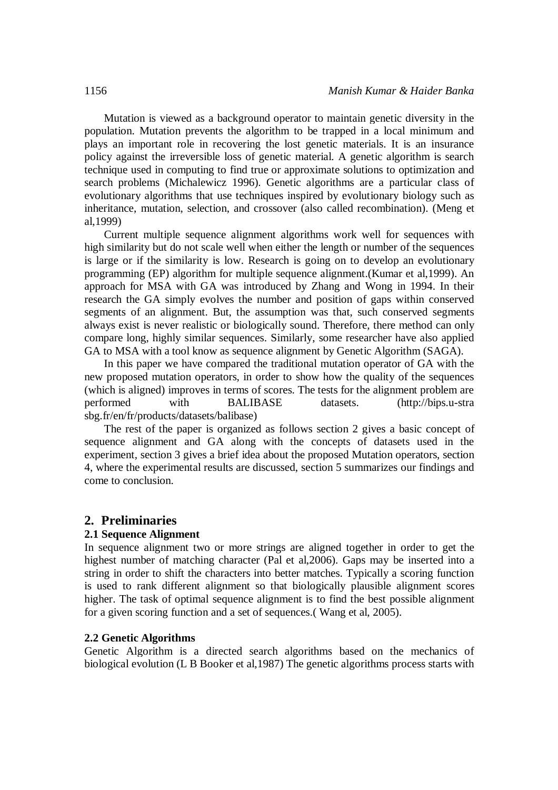Mutation is viewed as a background operator to maintain genetic diversity in the population. Mutation prevents the algorithm to be trapped in a local minimum and plays an important role in recovering the lost genetic materials. It is an insurance policy against the irreversible loss of genetic material. A genetic algorithm is search technique used in computing to find true or approximate solutions to optimization and search problems (Michalewicz 1996). Genetic algorithms are a particular class of evolutionary algorithms that use techniques inspired by evolutionary biology such as inheritance, mutation, selection, and crossover (also called recombination). (Meng et al,1999)

Current multiple sequence alignment algorithms work well for sequences with high similarity but do not scale well when either the length or number of the sequences is large or if the similarity is low. Research is going on to develop an evolutionary programming (EP) algorithm for multiple sequence alignment.(Kumar et al,1999). An approach for MSA with GA was introduced by Zhang and Wong in 1994. In their research the GA simply evolves the number and position of gaps within conserved segments of an alignment. But, the assumption was that, such conserved segments always exist is never realistic or biologically sound. Therefore, there method can only compare long, highly similar sequences. Similarly, some researcher have also applied GA to MSA with a tool know as sequence alignment by Genetic Algorithm (SAGA).

In this paper we have compared the traditional mutation operator of GA with the new proposed mutation operators, in order to show how the quality of the sequences (which is aligned) improves in terms of scores. The tests for the alignment problem are performed with BALIBASE datasets. (http://bips.u-stra sbg.fr/en/fr/products/datasets/balibase)

The rest of the paper is organized as follows section 2 gives a basic concept of sequence alignment and GA along with the concepts of datasets used in the experiment, section 3 gives a brief idea about the proposed Mutation operators, section 4, where the experimental results are discussed, section 5 summarizes our findings and come to conclusion.

#### **2. Preliminaries**

#### **2.1 Sequence Alignment**

In sequence alignment two or more strings are aligned together in order to get the highest number of matching character (Pal et al. 2006). Gaps may be inserted into a string in order to shift the characters into better matches. Typically a scoring function is used to rank different alignment so that biologically plausible alignment scores higher. The task of optimal sequence alignment is to find the best possible alignment for a given scoring function and a set of sequences.( Wang et al, 2005).

#### **2.2 Genetic Algorithms**

Genetic Algorithm is a directed search algorithms based on the mechanics of biological evolution (L B Booker et al,1987) The genetic algorithms process starts with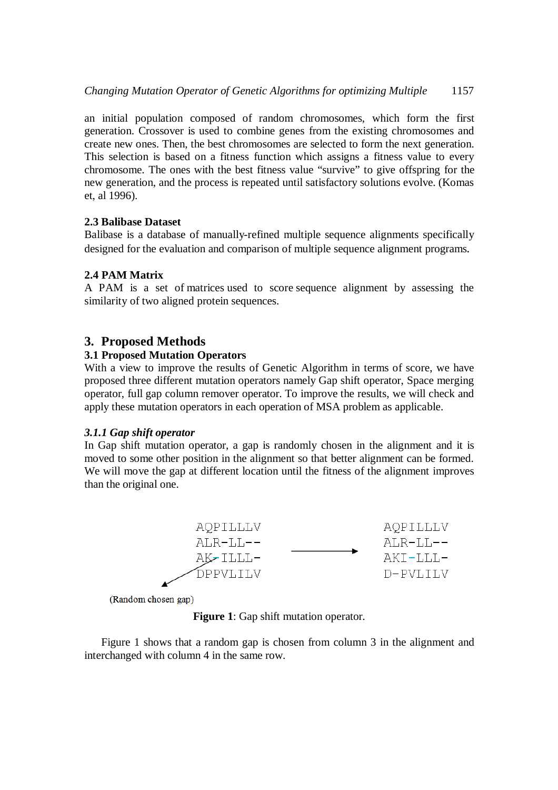an initial population composed of random chromosomes, which form the first generation. Crossover is used to combine genes from the existing chromosomes and create new ones. Then, the best chromosomes are selected to form the next generation. This selection is based on a fitness function which assigns a fitness value to every chromosome. The ones with the best fitness value "survive" to give offspring for the new generation, and the process is repeated until satisfactory solutions evolve. (Komas et, al 1996).

# **2.3 Balibase Dataset**

Balibase is a database of manually-refined multiple sequence alignments specifically designed for the evaluation and comparison of multiple sequence alignment programs.

# **2.4 PAM Matrix**

A PAM is a set of matrices used to score sequence alignment by assessing the similarity of two aligned protein sequences.

# **3. Proposed Methods**

# **3.1 Proposed Mutation Operators**

With a view to improve the results of Genetic Algorithm in terms of score, we have proposed three different mutation operators namely Gap shift operator, Space merging operator, full gap column remover operator. To improve the results, we will check and apply these mutation operators in each operation of MSA problem as applicable.

# *3.1.1 Gap shift operator*

In Gap shift mutation operator, a gap is randomly chosen in the alignment and it is moved to some other position in the alignment so that better alignment can be formed. We will move the gap at different location until the fitness of the alignment improves than the original one.



(Random chosen gap)

**Figure 1**: Gap shift mutation operator.

Figure 1 shows that a random gap is chosen from column 3 in the alignment and interchanged with column 4 in the same row.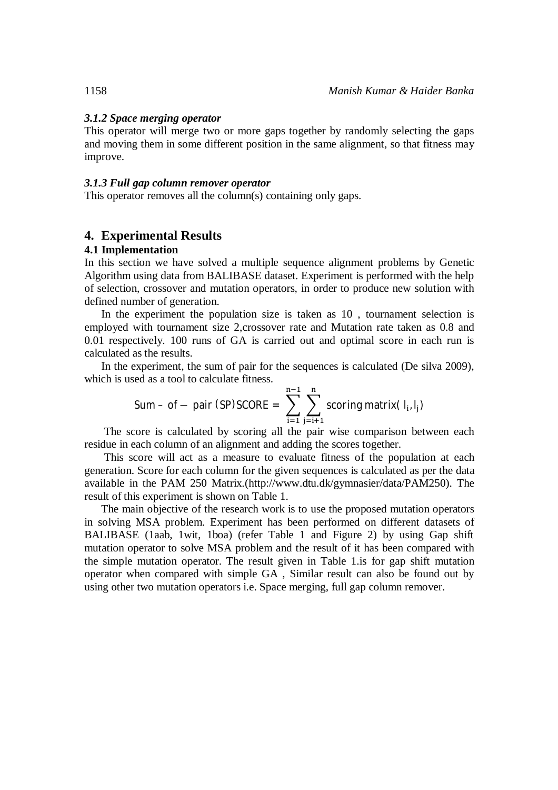#### *3.1.2 Space merging operator*

This operator will merge two or more gaps together by randomly selecting the gaps and moving them in some different position in the same alignment, so that fitness may improve.

#### *3.1.3 Full gap column remover operator*

This operator removes all the column(s) containing only gaps.

# **4. Experimental Results**

#### **4.1 Implementation**

In this section we have solved a multiple sequence alignment problems by Genetic Algorithm using data from BALIBASE dataset. Experiment is performed with the help of selection, crossover and mutation operators, in order to produce new solution with defined number of generation.

In the experiment the population size is taken as 10 , tournament selection is employed with tournament size 2,crossover rate and Mutation rate taken as 0.8 and 0.01 respectively. 100 runs of GA is carried out and optimal score in each run is calculated as the results.

In the experiment, the sum of pair for the sequences is calculated (De silva 2009), which is used as a tool to calculate fitness.

Sum – of – pair (SP)SCORE = 
$$
\sum_{i=1}^{n-1} \sum_{j=i+1}^{n} \text{scoring matrix}(l_i, l_j)
$$

The score is calculated by scoring all the pair wise comparison between each residue in each column of an alignment and adding the scores together.

This score will act as a measure to evaluate fitness of the population at each generation. Score for each column for the given sequences is calculated as per the data available in the PAM 250 Matrix.(http://www.dtu.dk/gymnasier/data/PAM250). The result of this experiment is shown on Table 1.

The main objective of the research work is to use the proposed mutation operators in solving MSA problem. Experiment has been performed on different datasets of BALIBASE (1aab, 1wit, 1boa) (refer Table 1 and Figure 2) by using Gap shift mutation operator to solve MSA problem and the result of it has been compared with the simple mutation operator. The result given in Table 1.is for gap shift mutation operator when compared with simple GA , Similar result can also be found out by using other two mutation operators i.e. Space merging, full gap column remover.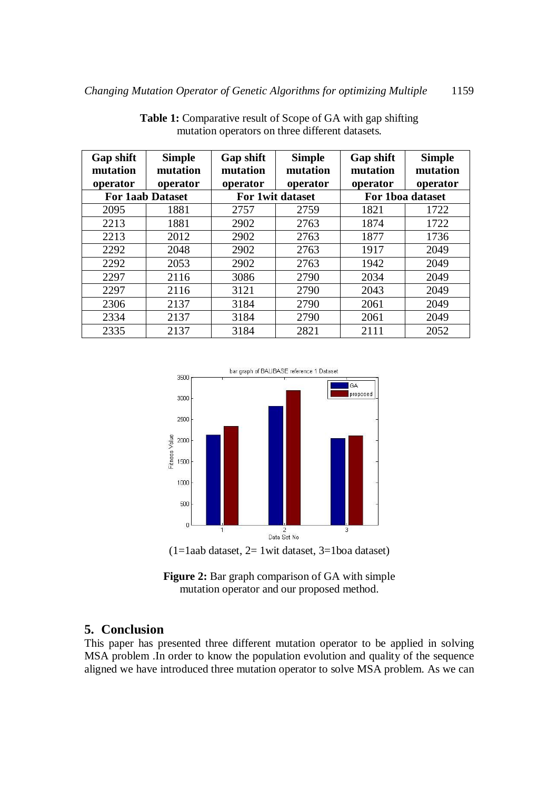| Gap shift<br>mutation   | <b>Simple</b><br>mutation | Gap shift<br>mutation | <b>Simple</b><br>mutation | <b>Gap shift</b><br>mutation | <b>Simple</b><br>mutation |
|-------------------------|---------------------------|-----------------------|---------------------------|------------------------------|---------------------------|
| operator                | operator                  | operator              | operator                  | operator                     | operator                  |
| <b>For 1aab Dataset</b> |                           | For 1 wit dataset     |                           | For 1boa dataset             |                           |
| 2095                    | 1881                      | 2757                  | 2759                      | 1821                         | 1722                      |
| 2213                    | 1881                      | 2902                  | 2763                      | 1874                         | 1722                      |
| 2213                    | 2012                      | 2902                  | 2763                      | 1877                         | 1736                      |
| 2292                    | 2048                      | 2902                  | 2763                      | 1917                         | 2049                      |
| 2292                    | 2053                      | 2902                  | 2763                      | 1942                         | 2049                      |
| 2297                    | 2116                      | 3086                  | 2790                      | 2034                         | 2049                      |
| 2297                    | 2116                      | 3121                  | 2790                      | 2043                         | 2049                      |
| 2306                    | 2137                      | 3184                  | 2790                      | 2061                         | 2049                      |
| 2334                    | 2137                      | 3184                  | 2790                      | 2061                         | 2049                      |
| 2335                    | 2137                      | 3184                  | 2821                      | 2111                         | 2052                      |

**Table 1:** Comparative result of Scope of GA with gap shifting mutation operators on three different datasets.



 $(1=1$ aab dataset,  $2=1$  wit dataset,  $3=1$ boa dataset)

**Figure 2:** Bar graph comparison of GA with simple mutation operator and our proposed method.

# **5. Conclusion**

This paper has presented three different mutation operator to be applied in solving MSA problem .In order to know the population evolution and quality of the sequence aligned we have introduced three mutation operator to solve MSA problem. As we can